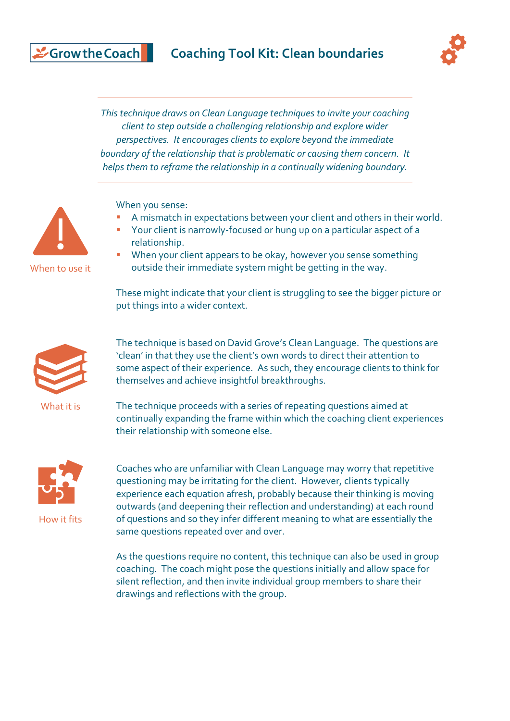## **Coaching Tool Kit: Clean boundaries**



*This technique draws on Clean Language techniques to invite your coaching client to step outside a challenging relationship and explore wider perspectives. It encourages clients to explore beyond the immediate boundary of the relationship that is problematic or causing them concern. It helps them to reframe the relationship in a continually widening boundary.*

When you sense:

- A mismatch in expectations between your client and others in their world.
- Your client is narrowly-focused or hung up on a particular aspect of a relationship.
- **■** When your client appears to be okay, however you sense something outside their immediate system might be getting in the way.

These might indicate that your client is struggling to see the bigger picture or put things into a wider context.



The technique is based on David Grove's Clean Language. The questions are 'clean' in that they use the client's own words to direct their attention to some aspect of their experience. As such, they encourage clients to think for themselves and achieve insightful breakthroughs.

What it is

The technique proceeds with a series of repeating questions aimed at continually expanding the frame within which the coaching client experiences their relationship with someone else.



How it fits

Coaches who are unfamiliar with Clean Language may worry that repetitive questioning may be irritating for the client. However, clients typically experience each equation afresh, probably because their thinking is moving outwards (and deepening their reflection and understanding) at each round of questions and so they infer different meaning to what are essentially the same questions repeated over and over.

As the questions require no content, this technique can also be used in group coaching. The coach might pose the questions initially and allow space for silent reflection, and then invite individual group members to share their drawings and reflections with the group.